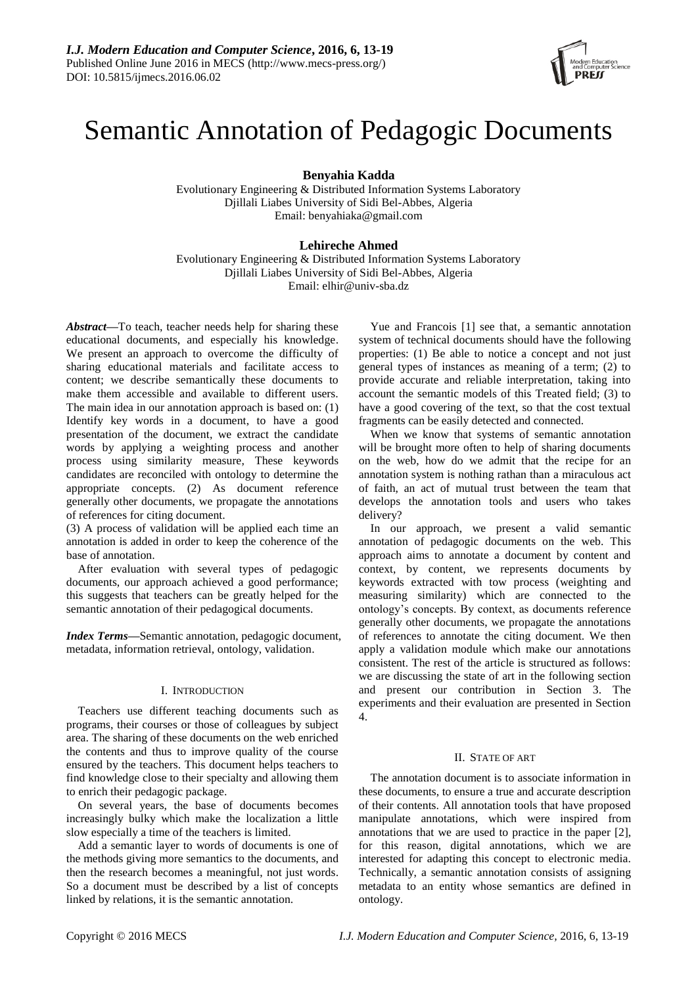

# Semantic Annotation of Pedagogic Documents

**Benyahia Kadda**

Evolutionary Engineering & Distributed Information Systems Laboratory Djillali Liabes University of Sidi Bel-Abbes, Algeria Email: benyahiaka@gmail.com

## **Lehireche Ahmed**

Evolutionary Engineering & Distributed Information Systems Laboratory Djillali Liabes University of Sidi Bel-Abbes, Algeria Email: [elhir@univ-sba.dz](mailto:elhir@univ-sba.dz)

*Abstract***—**To teach, teacher needs help for sharing these educational documents, and especially his knowledge. We present an approach to overcome the difficulty of sharing educational materials and facilitate access to content; we describe semantically these documents to make them accessible and available to different users. The main idea in our annotation approach is based on: (1) Identify key words in a document, to have a good presentation of the document, we extract the candidate words by applying a weighting process and another process using similarity measure, These keywords candidates are reconciled with ontology to determine the appropriate concepts. (2) As document reference generally other documents, we propagate the annotations of references for citing document.

(3) A process of validation will be applied each time an annotation is added in order to keep the coherence of the base of annotation.

After evaluation with several types of pedagogic documents, our approach achieved a good performance; this suggests that teachers can be greatly helped for the semantic annotation of their pedagogical documents.

*Index Terms—*Semantic annotation, pedagogic document, metadata, information retrieval, ontology, validation.

## I. INTRODUCTION

Teachers use different teaching documents such as programs, their courses or those of colleagues by subject area. The sharing of these documents on the web enriched the contents and thus to improve quality of the course ensured by the teachers. This document helps teachers to find knowledge close to their specialty and allowing them to enrich their pedagogic package.

On several years, the base of documents becomes increasingly bulky which make the localization a little slow especially a time of the teachers is limited.

Add a semantic layer to words of documents is one of the methods giving more semantics to the documents, and then the research becomes a meaningful, not just words. So a document must be described by a list of concepts linked by relations, it is the semantic annotation.

Yue and Francois [1] see that, a semantic annotation system of technical documents should have the following properties: (1) Be able to notice a concept and not just general types of instances as meaning of a term; (2) to provide accurate and reliable interpretation, taking into account the semantic models of this Treated field; (3) to have a good covering of the text, so that the cost textual fragments can be easily detected and connected.

When we know that systems of semantic annotation will be brought more often to help of sharing documents on the web, how do we admit that the recipe for an annotation system is nothing rathan than a miraculous act of faith, an act of mutual trust between the team that develops the annotation tools and users who takes delivery?

In our approach, we present a valid semantic annotation of pedagogic documents on the web. This approach aims to annotate a document by content and context, by content, we represents documents by keywords extracted with tow process (weighting and measuring similarity) which are connected to the ontology's concepts. By context, as documents reference generally other documents, we propagate the annotations of references to annotate the citing document. We then apply a validation module which make our annotations consistent. The rest of the article is structured as follows: we are discussing the state of art in the following section and present our contribution in Section 3. The experiments and their evaluation are presented in Section 4.

## II. STATE OF ART

The annotation document is to associate information in these documents, to ensure a true and accurate description of their contents. All annotation tools that have proposed manipulate annotations, which were inspired from annotations that we are used to practice in the paper [2], for this reason, digital annotations, which we are interested for adapting this concept to electronic media. Technically, a semantic annotation consists of assigning metadata to an entity whose semantics are defined in ontology.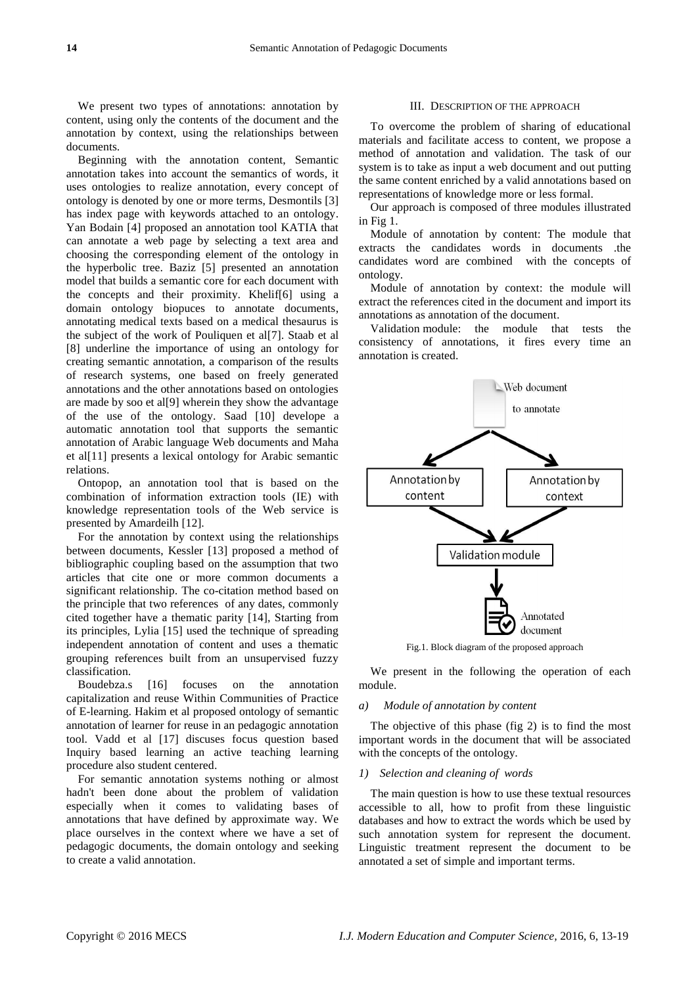We present two types of annotations: annotation by content, using only the contents of the document and the annotation by context, using the relationships between documents.

Beginning with the annotation content, Semantic annotation takes into account the semantics of words, it uses ontologies to realize annotation, every concept of ontology is denoted by one or more terms, Desmontils [3] has index page with keywords attached to an ontology. Yan Bodain [4] proposed an annotation tool KATIA that can annotate a web page by selecting a text area and choosing the corresponding element of the ontology in the hyperbolic tree. Baziz [5] presented an annotation model that builds a semantic core for each document with the concepts and their proximity. Khelif[6] using a domain ontology biopuces to annotate documents, annotating medical texts based on a medical thesaurus is the subject of the work of Pouliquen et al[7]. Staab et al [8] underline the importance of using an ontology for creating semantic annotation, a comparison of the results of research systems, one based on freely generated annotations and the other annotations based on ontologies are made by soo et al[9] wherein they show the advantage of the use of the ontology. Saad [10] develope a automatic annotation tool that supports the semantic annotation of Arabic language Web documents and Maha et al[11] presents a lexical ontology for Arabic semantic relations.

Ontopop, an annotation tool that is based on the combination of information extraction tools (IE) with knowledge representation tools of the Web service is presented by Amardeilh [12].

For the annotation by context using the relationships between documents, Kessler [13] proposed a method of bibliographic coupling based on the assumption that two articles that cite one or more common documents a significant relationship. The co-citation method based on the principle that two references of any dates, commonly cited together have a thematic parity [14], Starting from its principles, Lylia [15] used the technique of spreading independent annotation of content and uses a thematic grouping references built from an unsupervised fuzzy classification.

Boudebza.s [16] focuses on the annotation capitalization and reuse Within Communities of Practice of E-learning. Hakim et al proposed ontology of semantic annotation of learner for reuse in an pedagogic annotation tool. Vadd et al [17] discuses focus question based Inquiry based learning an active teaching learning procedure also student centered.

For semantic annotation systems nothing or almost hadn't been done about the problem of validation especially when it comes to validating bases of annotations that have defined by approximate way. We place ourselves in the context where we have a set of pedagogic documents, the domain ontology and seeking to create a valid annotation.

## III. DESCRIPTION OF THE APPROACH

To overcome the problem of sharing of educational materials and facilitate access to content, we propose a method of annotation and validation. The task of our system is to take as input a web document and out putting the same content enriched by a valid annotations based on representations of knowledge more or less formal.

Our approach is composed of three modules illustrated in Fig 1.

Module of annotation by content: The module that extracts the candidates words in documents .the candidates word are combined with the concepts of ontology.

Module of annotation by context: the module will extract the references cited in the document and import its annotations as annotation of the document.

Validation module: the module that tests the consistency of annotations, it fires every time an annotation is created.



Fig.1. Block diagram of the proposed approach

We present in the following the operation of each module.

#### *a) Module of annotation by content*

The objective of this phase (fig 2) is to find the most important words in the document that will be associated with the concepts of the ontology.

## *1) Selection and cleaning of words*

The main question is how to use these textual resources accessible to all, how to profit from these linguistic databases and how to extract the words which be used by such annotation system for represent the document. Linguistic treatment represent the document to be annotated a set of simple and important terms.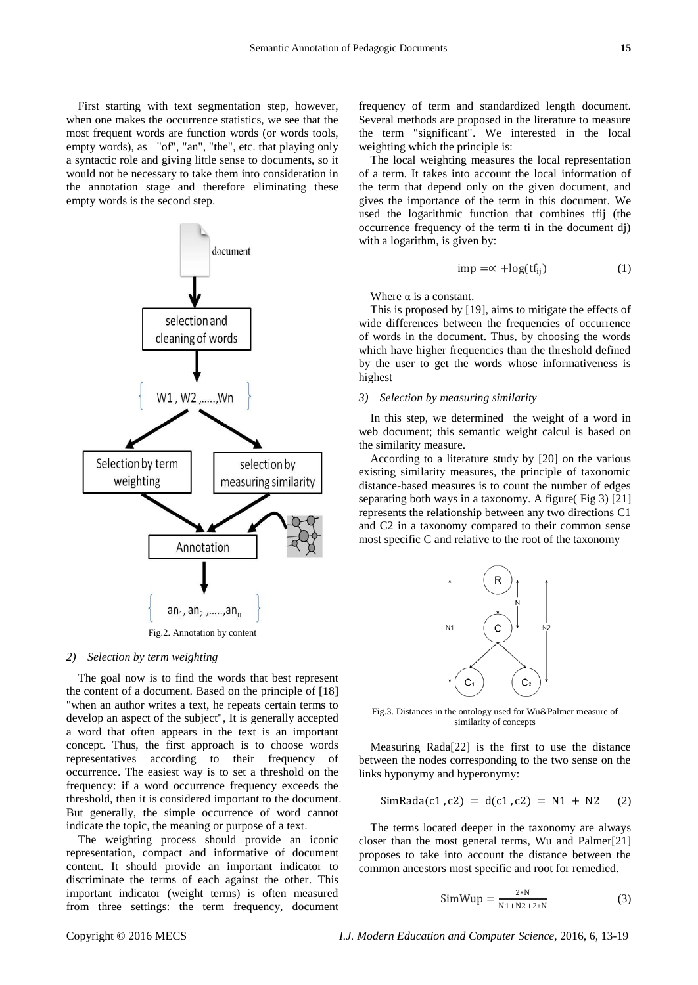First starting with text segmentation step, however, when one makes the occurrence statistics, we see that the most frequent words are function words (or words tools, empty words), as "of", "an", "the", etc. that playing only a syntactic role and giving little sense to documents, so it would not be necessary to take them into consideration in the annotation stage and therefore eliminating these empty words is the second step.



## *2) Selection by term weighting*

The goal now is to find the words that best represent the content of a document. Based on the principle of [18] "when an author writes a text, he repeats certain terms to develop an aspect of the subject", It is generally accepted a word that often appears in the text is an important concept. Thus, the first approach is to choose words representatives according to their frequency of occurrence. The easiest way is to set a threshold on the frequency: if a word occurrence frequency exceeds the threshold, then it is considered important to the document. But generally, the simple occurrence of word cannot indicate the topic, the meaning or purpose of a text.

The weighting process should provide an iconic representation, compact and informative of document content. It should provide an important indicator to discriminate the terms of each against the other. This important indicator (weight terms) is often measured from three settings: the term frequency, document frequency of term and standardized length document. Several methods are proposed in the literature to measure the term "significant". We interested in the local weighting which the principle is:

The local weighting measures the local representation of a term. It takes into account the local information of the term that depend only on the given document, and gives the importance of the term in this document. We used the logarithmic function that combines tfij (the occurrence frequency of the term ti in the document dj) with a logarithm, is given by:

$$
imp = \propto +\log(t f_{ii})
$$
 (1)

Where  $\alpha$  is a constant.

This is proposed by [19], aims to mitigate the effects of wide differences between the frequencies of occurrence of words in the document. Thus, by choosing the words which have higher frequencies than the threshold defined by the user to get the words whose informativeness is highest

## *3) Selection by measuring similarity*

In this step, we determined the weight of a word in web document; this semantic weight calcul is based on the similarity measure.

According to a literature study by [20] on the various existing similarity measures, the principle of taxonomic distance-based measures is to count the number of edges separating both ways in a taxonomy. A figure( Fig 3) [21] represents the relationship between any two directions C1 and C2 in a taxonomy compared to their common sense most specific C and relative to the root of the taxonomy



Fig.3. Distances in the ontology used for Wu&Palmer measure of similarity of concepts

Measuring Rada[22] is the first to use the distance between the nodes corresponding to the two sense on the links hyponymy and hyperonymy:

$$
SimRada(c1, c2) = d(c1, c2) = N1 + N2 \quad (2)
$$

The terms located deeper in the taxonomy are always closer than the most general terms, Wu and Palmer[21] proposes to take into account the distance between the common ancestors most specific and root for remedied.

$$
SimWup = \frac{2*N}{N1 + N2 + 2*N}
$$
 (3)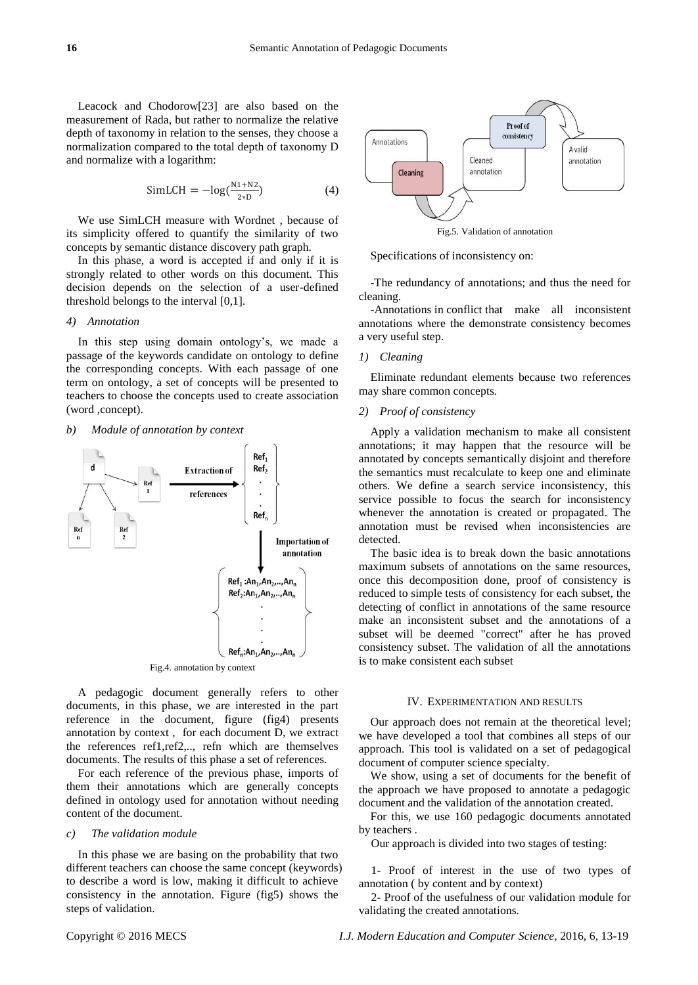Leacock and Chodorow[23] are also based on the measurement of Rada, but rather to normalize the relative depth of taxonomy in relation to the senses, they choose a normalization compared to the total depth of taxonomy D and normalize with a logarithm:

$$
SimLCH = -log(\frac{N1 + N2}{2*D})
$$
 (4)

We use SimLCH measure with Wordnet , because of its simplicity offered to quantify the similarity of two concepts by semantic distance discovery path graph.

In this phase, a word is accepted if and only if it is strongly related to other words on this document. This decision depends on the selection of a user-defined threshold belongs to the interval [0,1].

## *4) Annotation*

In this step using domain ontology's, we made a passage of the keywords candidate on ontology to define the corresponding concepts. With each passage of one term on ontology, a set of concepts will be presented to teachers to choose the concepts used to create association (word ,concept).

#### *b) Module of annotation by context*



A pedagogic document generally refers to other documents, in this phase, we are interested in the part reference in the document, figure (fig4) presents annotation by context , for each document D, we extract the references ref1,ref2,.., refn which are themselves documents. The results of this phase a set of references.

For each reference of the previous phase, imports of them their annotations which are generally concepts defined in ontology used for annotation without needing content of the document.

#### *c) The validation module*

In this phase we are basing on the probability that two different teachers can choose the same concept (keywords) to describe a word is low, making it difficult to achieve consistency in the annotation. Figure (fig5) shows the steps of validation.



Fig.5. Validation of annotation

Specifications of inconsistency on:

-The redundancy of annotations; and thus the need for cleaning.

-Annotations in conflict that make all inconsistent annotations where the demonstrate consistency becomes a very useful step.

## *1) Cleaning*

Eliminate redundant elements because two references may share common concepts*.*

### *2) Proof of consistency*

Apply a validation mechanism to make all consistent annotations; it may happen that the resource will be annotated by concepts semantically disjoint and therefore the semantics must recalculate to keep one and eliminate others. We define a search service inconsistency, this service possible to focus the search for inconsistency whenever the annotation is created or propagated. The annotation must be revised when inconsistencies are detected.

The basic idea is to break down the basic annotations maximum subsets of annotations on the same resources, once this decomposition done, proof of consistency is reduced to simple tests of consistency for each subset, the detecting of conflict in annotations of the same resource make an inconsistent subset and the annotations of a subset will be deemed "correct" after he has proved consistency subset. The validation of all the annotations is to make consistent each subset

### IV. EXPERIMENTATION AND RESULTS

Our approach does not remain at the theoretical level; we have developed a tool that combines all steps of our approach. This tool is validated on a set of pedagogical document of computer science specialty.

We show, using a set of documents for the benefit of the approach we have proposed to annotate a pedagogic document and the validation of the annotation created.

For this, we use 160 pedagogic documents annotated by teachers .

Our approach is divided into two stages of testing:

1- Proof of interest in the use of two types of annotation ( by content and by context)

2- Proof of the usefulness of our validation module for validating the created annotations.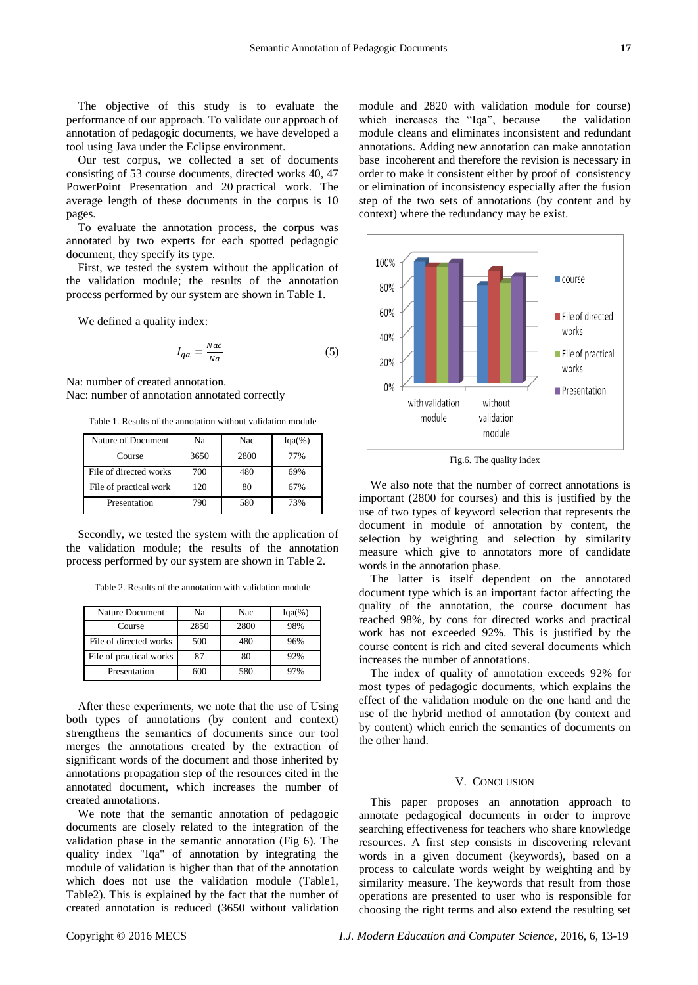The objective of this study is to evaluate the performance of our approach. To validate our approach of annotation of pedagogic documents, we have developed a tool using Java under the Eclipse environment.

Our test corpus, we collected a set of documents consisting of 53 course documents, directed works 40, 47 PowerPoint Presentation and 20 practical work. The average length of these documents in the corpus is 10 pages.

To evaluate the annotation process, the corpus was annotated by two experts for each spotted pedagogic document, they specify its type.

First, we tested the system without the application of the validation module; the results of the annotation process performed by our system are shown in Table 1.

We defined a quality index:

$$
I_{qa} = \frac{Nac}{Na} \tag{5}
$$

Na: number of created annotation. Nac: number of annotation annotated correctly

Table 1. Results of the annotation without validation module

| Nature of Document     | Na   | Nac  | $Iqa(\%)$ |
|------------------------|------|------|-----------|
| Course                 | 3650 | 2800 | 77%       |
| File of directed works | 700  | 480  | 69%       |
| File of practical work | 120  | 80   | 67%       |
| Presentation           | 790  | 580  | 73%       |

Secondly, we tested the system with the application of the validation module; the results of the annotation process performed by our system are shown in Table 2.

Table 2. Results of the annotation with validation module

| Nature Document         | Na   | Nac  | $Iqa(\%)$ |
|-------------------------|------|------|-----------|
| Course                  | 2850 | 2800 | 98%       |
| File of directed works  | 500  | 480  | 96%       |
| File of practical works | 87   | 80   | 92%       |
| Presentation            | 600  | 580  | 97%       |

After these experiments, we note that the use of Using both types of annotations (by content and context) strengthens the semantics of documents since our tool merges the annotations created by the extraction of significant words of the document and those inherited by annotations propagation step of the resources cited in the annotated document, which increases the number of created annotations.

We note that the semantic annotation of pedagogic documents are closely related to the integration of the validation phase in the semantic annotation (Fig 6). The quality index "Iqa" of annotation by integrating the module of validation is higher than that of the annotation which does not use the validation module (Table1, Table2). This is explained by the fact that the number of created annotation is reduced (3650 without validation

module and 2820 with validation module for course) which increases the "Iqa", because the validation module cleans and eliminates inconsistent and redundant annotations. Adding new annotation can make annotation base incoherent and therefore the revision is necessary in order to make it consistent either by proof of consistency or elimination of inconsistency especially after the fusion step of the two sets of annotations (by content and by context) where the redundancy may be exist.



Fig.6. The quality index

We also note that the number of correct annotations is important (2800 for courses) and this is justified by the use of two types of keyword selection that represents the document in module of annotation by content, the selection by weighting and selection by similarity measure which give to annotators more of candidate words in the annotation phase.

The latter is itself dependent on the annotated document type which is an important factor affecting the quality of the annotation, the course document has reached 98%, by cons for directed works and practical work has not exceeded 92%. This is justified by the course content is rich and cited several documents which increases the number of annotations.

The index of quality of annotation exceeds 92% for most types of pedagogic documents, which explains the effect of the validation module on the one hand and the use of the hybrid method of annotation (by context and by content) which enrich the semantics of documents on the other hand.

### V. CONCLUSION

This paper proposes an annotation approach to annotate pedagogical documents in order to improve searching effectiveness for teachers who share knowledge resources. A first step consists in discovering relevant words in a given document (keywords), based on a process to calculate words weight by weighting and by similarity measure. The keywords that result from those operations are presented to user who is responsible for choosing the right terms and also extend the resulting set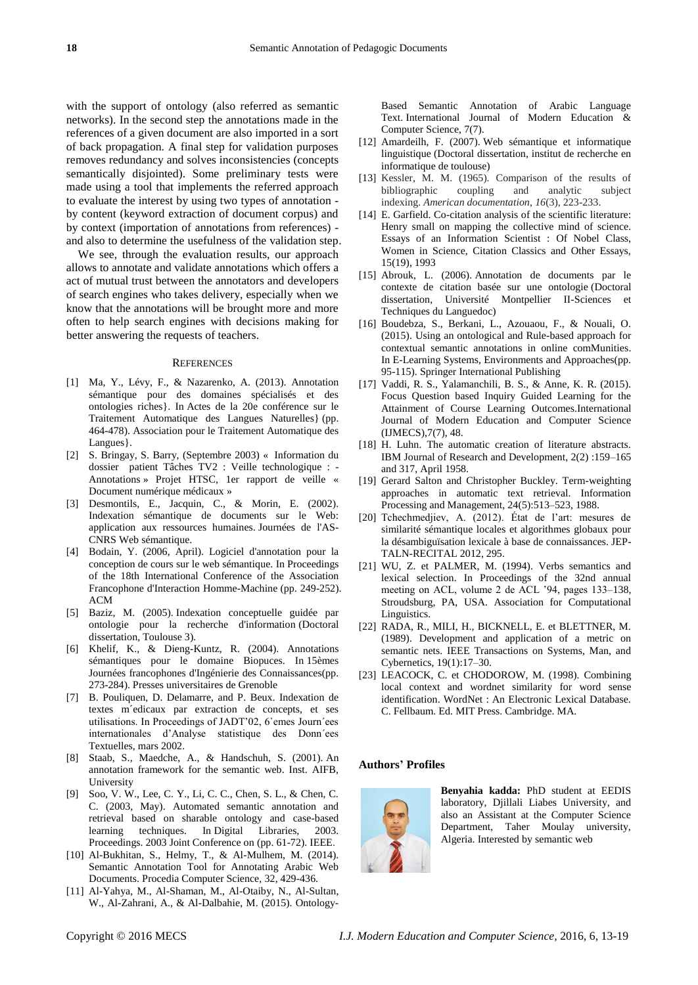with the support of ontology (also referred as semantic networks). In the second step the annotations made in the references of a given document are also imported in a sort of back propagation. A final step for validation purposes removes redundancy and solves inconsistencies (concepts semantically disjointed). Some preliminary tests were made using a tool that implements the referred approach to evaluate the interest by using two types of annotation by content (keyword extraction of document corpus) and by context (importation of annotations from references) and also to determine the usefulness of the validation step.

We see, through the evaluation results, our approach allows to annotate and validate annotations which offers a act of mutual trust between the annotators and developers of search engines who takes delivery, especially when we know that the annotations will be brought more and more often to help search engines with decisions making for better answering the requests of teachers.

### **REFERENCES**

- [1] Ma, Y., Lévy, F., & Nazarenko, A. (2013). Annotation sémantique pour des domaines spécialisés et des ontologies riches}. In Actes de la 20e conférence sur le Traitement Automatique des Langues Naturelles} (pp. 464-478). Association pour le Traitement Automatique des Langues}.
- [2] S. Bringay, S. Barry, (Septembre 2003) « Information du dossier patient Tâches TV2 : Veille technologique : - Annotations » Projet HTSC, 1er rapport de veille « Document num érique médicaux »
- [3] Desmontils, E., Jacquin, C., & Morin, E. (2002). Indexation sémantique de documents sur le Web: application aux ressources humaines. Journ ées de l'AS-CNRS Web sémantique.
- [4] Bodain, Y. (2006, April). Logiciel d'annotation pour la conception de cours sur le web sémantique. In Proceedings of the 18th International Conference of the Association Francophone d'Interaction Homme-Machine (pp. 249-252). ACM
- [5] Baziz, M. (2005). Indexation conceptuelle guidée par ontologie pour la recherche d'information (Doctoral dissertation, Toulouse 3).
- [6] Khelif, K., & Dieng-Kuntz, R. (2004). Annotations sémantiques pour le domaine Biopuces. In 15èmes Journ ées francophones d'Ingénierie des Connaissances(pp. 273-284). Presses universitaires de Grenoble
- [7] B. Pouliquen, D. Delamarre, and P. Beux. Indexation de textes m´edicaux par extraction de concepts, et ses utilisations. In Proceedings of JADT'02, 6`emes Journ´ees internationales d'Analyse statistique des Donn´ees Textuelles, mars 2002.
- [8] Staab, S., Maedche, A., & Handschuh, S. (2001). An annotation framework for the semantic web. Inst. AIFB, University
- [9] Soo, V. W., Lee, C. Y., Li, C. C., Chen, S. L., & Chen, C. C. (2003, May). Automated semantic annotation and retrieval based on sharable ontology and case-based learning techniques. In Digital Libraries, 2003. Proceedings. 2003 Joint Conference on (pp. 61-72). IEEE.
- [10] Al-Bukhitan, S., Helmy, T., & Al-Mulhem, M. (2014). Semantic Annotation Tool for Annotating Arabic Web Documents. Procedia Computer Science, 32, 429-436.
- [11] Al-Yahya, M., Al-Shaman, M., Al-Otaiby, N., Al-Sultan, W., Al-Zahrani, A., & Al-Dalbahie, M. (2015). Ontology-

Based Semantic Annotation of Arabic Language Text. International Journal of Modern Education & Computer Science, 7(7).

- [12] Amardeilh, F. (2007). Web sémantique et informatique linguistique (Doctoral dissertation, institut de recherche en informatique de toulouse)
- [13] Kessler, M. M. (1965). Comparison of the results of bibliographic coupling and analytic subject indexing. *American documentation*, *16*(3), 223-233.
- [14] E. Garfield. Co-citation analysis of the scientific literature: Henry small on mapping the collective mind of science. Essays of an Information Scientist : Of Nobel Class, Women in Science, Citation Classics and Other Essays, 15(19), 1993
- [15] Abrouk, L. (2006). Annotation de documents par le contexte de citation basée sur une ontologie (Doctoral dissertation, Université Montpellier II-Sciences et Techniques du Languedoc)
- [16] Boudebza, S., Berkani, L., Azouaou, F., & Nouali, O. (2015). Using an ontological and Rule-based approach for contextual semantic annotations in online comMunities. In E-Learning Systems, Environments and Approaches(pp. 95-115). Springer International Publishing
- [17] Vaddi, R. S., Yalamanchili, B. S., & Anne, K. R. (2015). Focus Question based Inquiry Guided Learning for the Attainment of Course Learning Outcomes.International Journal of Modern Education and Computer Science (IJMECS),7(7), 48.
- [18] H. Luhn. The automatic creation of literature abstracts. IBM Journal of Research and Development, 2(2) :159–165 and 317, April 1958.
- [19] Gerard Salton and Christopher Buckley. Term-weighting approaches in automatic text retrieval. Information Processing and Management, 24(5):513–523, 1988.
- [20] Tchechmedjiev, A. (2012). État de l'art: mesures de similarité sémantique locales et algorithmes globaux pour la désambigu ïsation lexicale à base de connaissances. JEP-TALN-RECITAL 2012, 295.
- [21] WU, Z. et PALMER, M. (1994). Verbs semantics and lexical selection. In Proceedings of the 32nd annual meeting on ACL, volume 2 de ACL '94, pages 133–138, Stroudsburg, PA, USA. Association for Computational Linguistics.
- [22] RADA, R., MILI, H., BICKNELL, E. et BLETTNER, M. (1989). Development and application of a metric on semantic nets. IEEE Transactions on Systems, Man, and Cybernetics, 19(1):17–30.
- [23] LEACOCK, C. et CHODOROW, M. (1998). Combining local context and wordnet similarity for word sense identification. WordNet : An Electronic Lexical Database. C. Fellbaum. Ed. MIT Press. Cambridge. MA.

#### **Authors' Profiles**



**Benyahia kadda:** PhD student at EEDIS laboratory, Djillali Liabes University, and also an Assistant at the Computer Science Department, Taher Moulay university, Algeria. Interested by semantic web